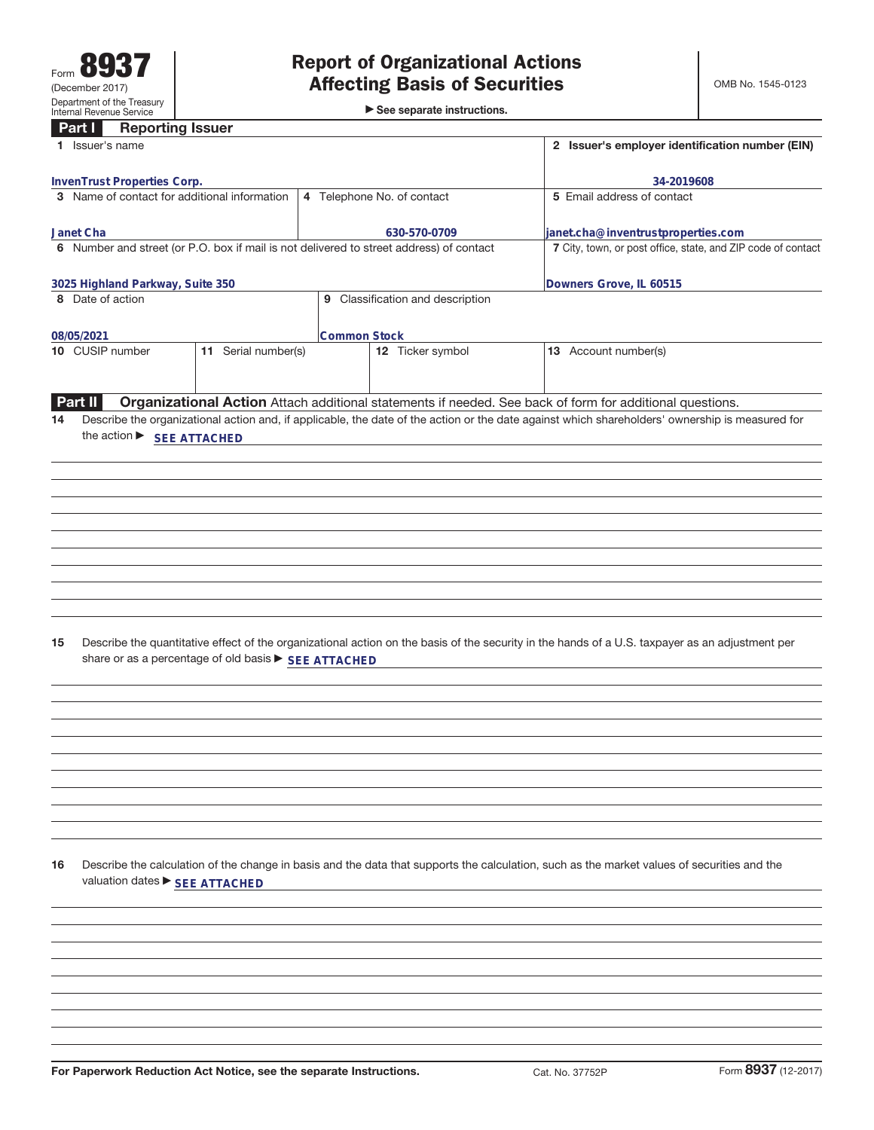►<br>► See separate instructions.

#### **Part I Reporting Issuer**

| <b>TRANGE BUSINESS</b><br>1 Issuer's name                                                                                                                                                                     |                                  | 2 Issuer's employer identification number (EIN)                                                                                                                                                                                                             |                     |  |
|---------------------------------------------------------------------------------------------------------------------------------------------------------------------------------------------------------------|----------------------------------|-------------------------------------------------------------------------------------------------------------------------------------------------------------------------------------------------------------------------------------------------------------|---------------------|--|
|                                                                                                                                                                                                               |                                  |                                                                                                                                                                                                                                                             |                     |  |
| InvenTrust Properties Corp.<br>3 Name of contact for additional information                                                                                                                                   | 4 Telephone No. of contact       | 5 Email address of contact                                                                                                                                                                                                                                  | 34-2019608          |  |
|                                                                                                                                                                                                               |                                  |                                                                                                                                                                                                                                                             |                     |  |
| Janet Cha                                                                                                                                                                                                     | 630-570-0709                     | janet.cha@inventrustproperties.com                                                                                                                                                                                                                          |                     |  |
| 6 Number and street (or P.O. box if mail is not delivered to street address) of contact                                                                                                                       |                                  | 7 City, town, or post office, state, and ZIP code of contact                                                                                                                                                                                                |                     |  |
|                                                                                                                                                                                                               |                                  |                                                                                                                                                                                                                                                             |                     |  |
| 3025 Highland Parkway, Suite 350<br>8 Date of action                                                                                                                                                          | Downers Grove, IL 60515          |                                                                                                                                                                                                                                                             |                     |  |
|                                                                                                                                                                                                               | 9 Classification and description |                                                                                                                                                                                                                                                             |                     |  |
| 08/05/2021                                                                                                                                                                                                    | <b>Common Stock</b>              |                                                                                                                                                                                                                                                             |                     |  |
| 10 CUSIP number<br>11 Serial number(s)                                                                                                                                                                        | 12 Ticker symbol                 | 13 Account number(s)                                                                                                                                                                                                                                        |                     |  |
|                                                                                                                                                                                                               |                                  |                                                                                                                                                                                                                                                             |                     |  |
|                                                                                                                                                                                                               |                                  |                                                                                                                                                                                                                                                             |                     |  |
| Part II<br>14                                                                                                                                                                                                 |                                  | Organizational Action Attach additional statements if needed. See back of form for additional questions.<br>Describe the organizational action and, if applicable, the date of the action or the date against which shareholders' ownership is measured for |                     |  |
| the action ▶ SEE ATTACHED                                                                                                                                                                                     |                                  |                                                                                                                                                                                                                                                             |                     |  |
|                                                                                                                                                                                                               |                                  |                                                                                                                                                                                                                                                             |                     |  |
|                                                                                                                                                                                                               |                                  |                                                                                                                                                                                                                                                             |                     |  |
|                                                                                                                                                                                                               |                                  |                                                                                                                                                                                                                                                             |                     |  |
|                                                                                                                                                                                                               |                                  |                                                                                                                                                                                                                                                             |                     |  |
|                                                                                                                                                                                                               |                                  |                                                                                                                                                                                                                                                             |                     |  |
|                                                                                                                                                                                                               |                                  |                                                                                                                                                                                                                                                             |                     |  |
|                                                                                                                                                                                                               |                                  |                                                                                                                                                                                                                                                             |                     |  |
|                                                                                                                                                                                                               |                                  |                                                                                                                                                                                                                                                             |                     |  |
|                                                                                                                                                                                                               |                                  |                                                                                                                                                                                                                                                             |                     |  |
|                                                                                                                                                                                                               |                                  |                                                                                                                                                                                                                                                             |                     |  |
| Describe the quantitative effect of the organizational action on the basis of the security in the hands of a U.S. taxpayer as an adjustment per<br>15<br>share or as a percentage of old basis > SEE ATTACHED |                                  |                                                                                                                                                                                                                                                             |                     |  |
|                                                                                                                                                                                                               |                                  |                                                                                                                                                                                                                                                             |                     |  |
|                                                                                                                                                                                                               |                                  |                                                                                                                                                                                                                                                             |                     |  |
|                                                                                                                                                                                                               |                                  |                                                                                                                                                                                                                                                             |                     |  |
|                                                                                                                                                                                                               |                                  |                                                                                                                                                                                                                                                             |                     |  |
|                                                                                                                                                                                                               |                                  |                                                                                                                                                                                                                                                             |                     |  |
|                                                                                                                                                                                                               |                                  |                                                                                                                                                                                                                                                             |                     |  |
|                                                                                                                                                                                                               |                                  |                                                                                                                                                                                                                                                             |                     |  |
|                                                                                                                                                                                                               |                                  |                                                                                                                                                                                                                                                             |                     |  |
|                                                                                                                                                                                                               |                                  |                                                                                                                                                                                                                                                             |                     |  |
|                                                                                                                                                                                                               |                                  |                                                                                                                                                                                                                                                             |                     |  |
| 16<br>Describe the calculation of the change in basis and the data that supports the calculation, such as the market values of securities and the<br>valuation dates ▶ SEE ATTACHED                           |                                  |                                                                                                                                                                                                                                                             |                     |  |
|                                                                                                                                                                                                               |                                  |                                                                                                                                                                                                                                                             |                     |  |
|                                                                                                                                                                                                               |                                  |                                                                                                                                                                                                                                                             |                     |  |
|                                                                                                                                                                                                               |                                  |                                                                                                                                                                                                                                                             |                     |  |
|                                                                                                                                                                                                               |                                  |                                                                                                                                                                                                                                                             |                     |  |
|                                                                                                                                                                                                               |                                  |                                                                                                                                                                                                                                                             |                     |  |
|                                                                                                                                                                                                               |                                  |                                                                                                                                                                                                                                                             |                     |  |
|                                                                                                                                                                                                               |                                  |                                                                                                                                                                                                                                                             |                     |  |
|                                                                                                                                                                                                               |                                  |                                                                                                                                                                                                                                                             |                     |  |
|                                                                                                                                                                                                               |                                  |                                                                                                                                                                                                                                                             | Form 8937 (12-2017) |  |
| For Paperwork Reduction Act Notice, see the separate Instructions.                                                                                                                                            |                                  | Cat. No. 37752P                                                                                                                                                                                                                                             |                     |  |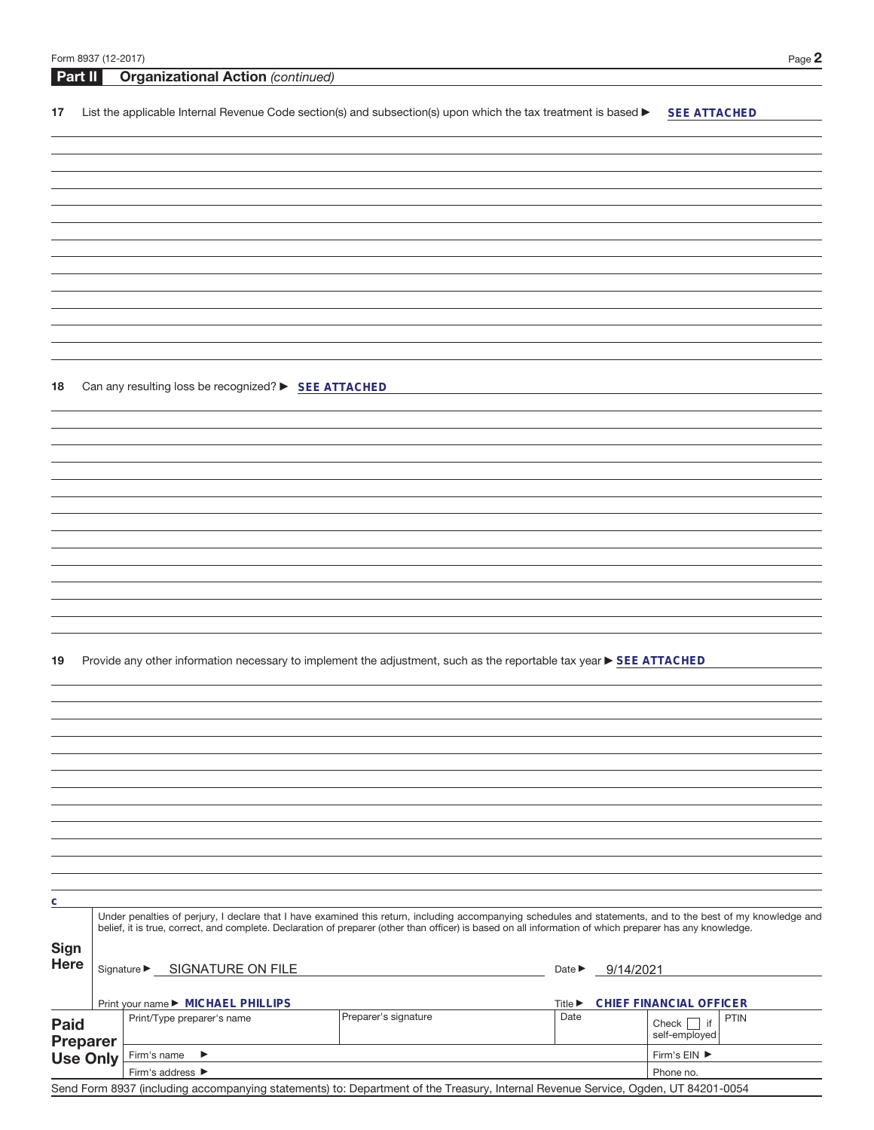| Form 8937 (12-2017) |  |
|---------------------|--|
|---------------------|--|

| Form 8937 (12-2017) |                                                      |                                                                                                                                                              |                                         | Page 2                         |
|---------------------|------------------------------------------------------|--------------------------------------------------------------------------------------------------------------------------------------------------------------|-----------------------------------------|--------------------------------|
| Part II             | <b>Organizational Action (continued)</b>             |                                                                                                                                                              |                                         |                                |
|                     |                                                      |                                                                                                                                                              |                                         |                                |
| 17                  |                                                      | List the applicable Internal Revenue Code section(s) and subsection(s) upon which the tax treatment is based $\blacktriangleright$                           |                                         | <b>SEE ATTACHED</b>            |
|                     |                                                      |                                                                                                                                                              |                                         |                                |
|                     |                                                      |                                                                                                                                                              |                                         |                                |
|                     |                                                      |                                                                                                                                                              |                                         |                                |
|                     |                                                      |                                                                                                                                                              |                                         |                                |
|                     |                                                      |                                                                                                                                                              |                                         |                                |
|                     |                                                      |                                                                                                                                                              |                                         |                                |
|                     |                                                      |                                                                                                                                                              |                                         |                                |
|                     |                                                      |                                                                                                                                                              |                                         |                                |
|                     |                                                      |                                                                                                                                                              |                                         |                                |
|                     |                                                      |                                                                                                                                                              |                                         |                                |
|                     |                                                      |                                                                                                                                                              |                                         |                                |
|                     |                                                      |                                                                                                                                                              |                                         |                                |
|                     |                                                      |                                                                                                                                                              |                                         |                                |
|                     |                                                      |                                                                                                                                                              |                                         |                                |
|                     |                                                      |                                                                                                                                                              |                                         |                                |
| 18                  | Can any resulting loss be recognized? > SEE ATTACHED |                                                                                                                                                              |                                         |                                |
|                     |                                                      |                                                                                                                                                              |                                         |                                |
|                     |                                                      |                                                                                                                                                              |                                         |                                |
|                     |                                                      |                                                                                                                                                              |                                         |                                |
|                     |                                                      |                                                                                                                                                              |                                         |                                |
|                     |                                                      |                                                                                                                                                              |                                         |                                |
|                     |                                                      |                                                                                                                                                              |                                         |                                |
|                     |                                                      |                                                                                                                                                              |                                         |                                |
|                     |                                                      |                                                                                                                                                              |                                         |                                |
|                     |                                                      |                                                                                                                                                              |                                         |                                |
|                     |                                                      |                                                                                                                                                              |                                         |                                |
|                     |                                                      |                                                                                                                                                              |                                         |                                |
|                     |                                                      |                                                                                                                                                              |                                         |                                |
|                     |                                                      |                                                                                                                                                              |                                         |                                |
|                     |                                                      |                                                                                                                                                              |                                         |                                |
|                     |                                                      |                                                                                                                                                              |                                         |                                |
| 19                  |                                                      | Provide any other information necessary to implement the adjustment, such as the reportable tax year > SEE ATTACHED                                          |                                         |                                |
|                     |                                                      |                                                                                                                                                              |                                         |                                |
|                     |                                                      |                                                                                                                                                              |                                         |                                |
|                     |                                                      |                                                                                                                                                              |                                         |                                |
|                     |                                                      |                                                                                                                                                              |                                         |                                |
|                     |                                                      |                                                                                                                                                              |                                         |                                |
|                     |                                                      |                                                                                                                                                              |                                         |                                |
|                     |                                                      |                                                                                                                                                              |                                         |                                |
|                     |                                                      |                                                                                                                                                              |                                         |                                |
|                     |                                                      |                                                                                                                                                              |                                         |                                |
|                     |                                                      |                                                                                                                                                              |                                         |                                |
|                     |                                                      |                                                                                                                                                              |                                         |                                |
|                     |                                                      |                                                                                                                                                              |                                         |                                |
| С                   |                                                      |                                                                                                                                                              |                                         |                                |
|                     |                                                      | Under penalties of perjury, I declare that I have examined this return, including accompanying schedules and statements, and to the best of my knowledge and |                                         |                                |
|                     |                                                      | belief, it is true, correct, and complete. Declaration of preparer (other than officer) is based on all information of which preparer has any knowledge.     |                                         |                                |
| Sign                |                                                      |                                                                                                                                                              |                                         |                                |
| <b>Here</b>         | Signature SIGNATURE ON FILE                          |                                                                                                                                                              | 9/14/2021<br>Date $\blacktriangleright$ |                                |
|                     |                                                      |                                                                                                                                                              |                                         |                                |
|                     | Print your name ▶ MICHAEL PHILLIPS                   |                                                                                                                                                              | Title $\blacktriangleright$             | CHIEF FINANCIAL OFFICER        |
|                     | Print/Type preparer's name                           | Preparer's signature                                                                                                                                         | Date                                    | <b>PTIN</b>                    |
| <b>Paid</b>         |                                                      |                                                                                                                                                              |                                         | if<br>Check  <br>self-employed |
| <b>Preparer</b>     | Firm's name<br>▶                                     |                                                                                                                                                              |                                         | Firm's EIN ▶                   |
| <b>Use Only</b>     | Firm's address ▶                                     |                                                                                                                                                              |                                         | Phone no.                      |
|                     |                                                      |                                                                                                                                                              |                                         |                                |

Send Form 8937 (including accompanying statements) to: Department of the Treasury, Internal Revenue Service, Ogden, UT 84201-0054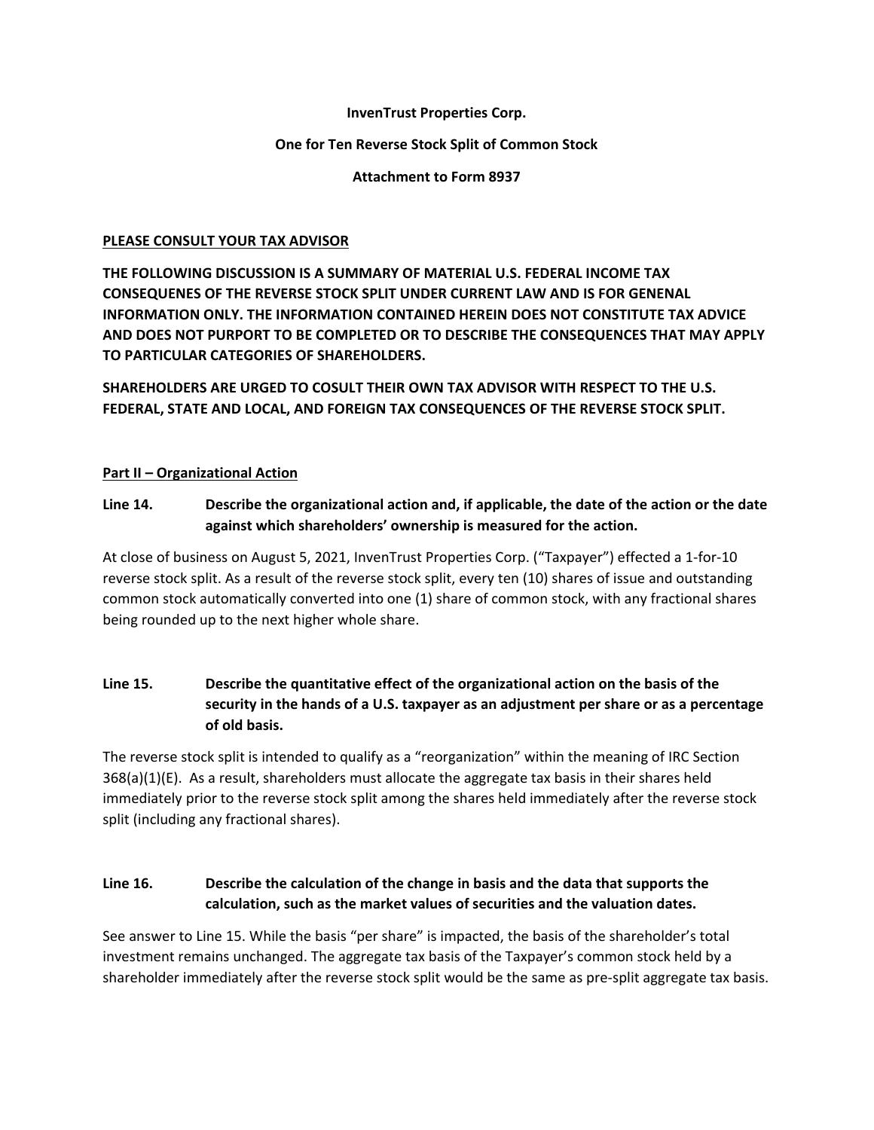#### **InvenTrust Properties Corp.**

#### **One for Ten Reverse Stock Split of Common Stock**

**Attachment to Form 8937**

#### **PLEASE CONSULT YOUR TAX ADVISOR**

**THE FOLLOWING DISCUSSION IS A SUMMARY OF MATERIAL U.S. FEDERAL INCOME TAX CONSEQUENES OF THE REVERSE STOCK SPLIT UNDER CURRENT LAW AND IS FOR GENENAL INFORMATION ONLY. THE INFORMATION CONTAINED HEREIN DOES NOT CONSTITUTE TAX ADVICE AND DOES NOT PURPORT TO BE COMPLETED OR TO DESCRIBE THE CONSEQUENCES THAT MAY APPLY TO PARTICULAR CATEGORIES OF SHAREHOLDERS.** 

**SHAREHOLDERS ARE URGED TO COSULT THEIR OWN TAX ADVISOR WITH RESPECT TO THE U.S. FEDERAL, STATE AND LOCAL, AND FOREIGN TAX CONSEQUENCES OF THE REVERSE STOCK SPLIT.**

### **Part II – Organizational Action**

## Line 14. Describe the organizational action and, if applicable, the date of the action or the date **against which shareholders' ownership is measured for the action.**

At close of business on August 5, 2021, InvenTrust Properties Corp. ("Taxpayer") effected a 1‐for‐10 reverse stock split. As a result of the reverse stock split, every ten (10) shares of issue and outstanding common stock automatically converted into one (1) share of common stock, with any fractional shares being rounded up to the next higher whole share.

## **Line 15. Describe the quantitative effect of the organizational action on the basis of the security in the hands of a U.S. taxpayer as an adjustment per share or as a percentage of old basis.**

The reverse stock split is intended to qualify as a "reorganization" within the meaning of IRC Section  $368(a)(1)(E)$ . As a result, shareholders must allocate the aggregate tax basis in their shares held immediately prior to the reverse stock split among the shares held immediately after the reverse stock split (including any fractional shares).

# **Line 16. Describe the calculation of the change in basis and the data that supports the calculation, such as the market values of securities and the valuation dates.**

See answer to Line 15. While the basis "per share" is impacted, the basis of the shareholder's total investment remains unchanged. The aggregate tax basis of the Taxpayer's common stock held by a shareholder immediately after the reverse stock split would be the same as pre-split aggregate tax basis.